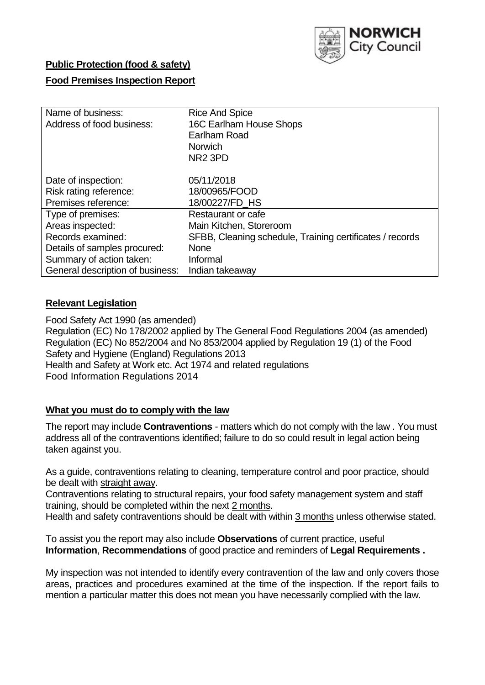

### **Public Protection (food & safety)**

### **Food Premises Inspection Report**

| Name of business:                | <b>Rice And Spice</b>                                    |  |  |  |  |
|----------------------------------|----------------------------------------------------------|--|--|--|--|
| Address of food business:        | 16C Earlham House Shops                                  |  |  |  |  |
|                                  | Earlham Road                                             |  |  |  |  |
|                                  | <b>Norwich</b>                                           |  |  |  |  |
|                                  | NR <sub>2</sub> 3PD                                      |  |  |  |  |
|                                  |                                                          |  |  |  |  |
| Date of inspection:              | 05/11/2018                                               |  |  |  |  |
| Risk rating reference:           | 18/00965/FOOD                                            |  |  |  |  |
| Premises reference:              | 18/00227/FD HS                                           |  |  |  |  |
| Type of premises:                | Restaurant or cafe                                       |  |  |  |  |
| Areas inspected:                 | Main Kitchen, Storeroom                                  |  |  |  |  |
| Records examined:                | SFBB, Cleaning schedule, Training certificates / records |  |  |  |  |
| Details of samples procured:     | <b>None</b>                                              |  |  |  |  |
| Summary of action taken:         | Informal                                                 |  |  |  |  |
| General description of business: | Indian takeaway                                          |  |  |  |  |

### **Relevant Legislation**

Food Safety Act 1990 (as amended) Regulation (EC) No 178/2002 applied by The General Food Regulations 2004 (as amended) Regulation (EC) No 852/2004 and No 853/2004 applied by Regulation 19 (1) of the Food Safety and Hygiene (England) Regulations 2013 Health and Safety at Work etc. Act 1974 and related regulations Food Information Regulations 2014

#### **What you must do to comply with the law**

The report may include **Contraventions** - matters which do not comply with the law . You must address all of the contraventions identified; failure to do so could result in legal action being taken against you.

As a guide, contraventions relating to cleaning, temperature control and poor practice, should be dealt with straight away.

Contraventions relating to structural repairs, your food safety management system and staff training, should be completed within the next 2 months.

Health and safety contraventions should be dealt with within 3 months unless otherwise stated.

To assist you the report may also include **Observations** of current practice, useful **Information**, **Recommendations** of good practice and reminders of **Legal Requirements .**

My inspection was not intended to identify every contravention of the law and only covers those areas, practices and procedures examined at the time of the inspection. If the report fails to mention a particular matter this does not mean you have necessarily complied with the law.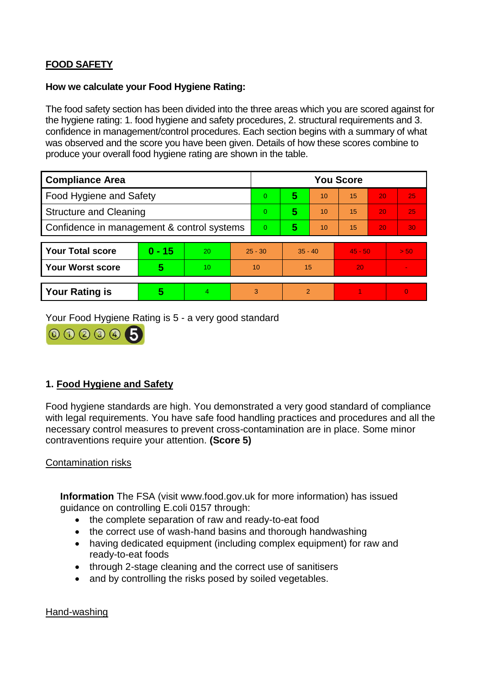# **FOOD SAFETY**

#### **How we calculate your Food Hygiene Rating:**

The food safety section has been divided into the three areas which you are scored against for the hygiene rating: 1. food hygiene and safety procedures, 2. structural requirements and 3. confidence in management/control procedures. Each section begins with a summary of what was observed and the score you have been given. Details of how these scores combine to produce your overall food hygiene rating are shown in the table.

| <b>Compliance Area</b>                     |          |                  |           | <b>You Score</b> |               |    |           |    |          |  |  |
|--------------------------------------------|----------|------------------|-----------|------------------|---------------|----|-----------|----|----------|--|--|
| Food Hygiene and Safety                    |          |                  |           | 0                | 5             | 10 | 15        | 20 | 25       |  |  |
| <b>Structure and Cleaning</b>              |          |                  |           | $\Omega$         | 5             | 10 | 15        | 20 | 25       |  |  |
| Confidence in management & control systems |          |                  |           | $\Omega$         | 5             | 10 | 15        | 20 | 30       |  |  |
|                                            |          |                  |           |                  |               |    |           |    |          |  |  |
| <b>Your Total score</b>                    | $0 - 15$ | 20               | $25 - 30$ |                  | $35 - 40$     |    | $45 - 50$ |    | > 50     |  |  |
| <b>Your Worst score</b>                    | 5        | 10 <sup>10</sup> | 10        |                  | 15            |    | 20        |    |          |  |  |
|                                            |          |                  |           |                  |               |    |           |    |          |  |  |
| <b>Your Rating is</b>                      | 5        | 4                |           | 3                | $\mathcal{P}$ |    |           |    | $\Omega$ |  |  |

Your Food Hygiene Rating is 5 - a very good standard



# **1. Food Hygiene and Safety**

Food hygiene standards are high. You demonstrated a very good standard of compliance with legal requirements. You have safe food handling practices and procedures and all the necessary control measures to prevent cross-contamination are in place. Some minor contraventions require your attention. **(Score 5)**

#### Contamination risks

**Information** The FSA (visit www.food.gov.uk for more information) has issued guidance on controlling E.coli 0157 through:

- the complete separation of raw and ready-to-eat food
- the correct use of wash-hand basins and thorough handwashing
- having dedicated equipment (including complex equipment) for raw and ready-to-eat foods
- through 2-stage cleaning and the correct use of sanitisers
- and by controlling the risks posed by soiled vegetables.

Hand-washing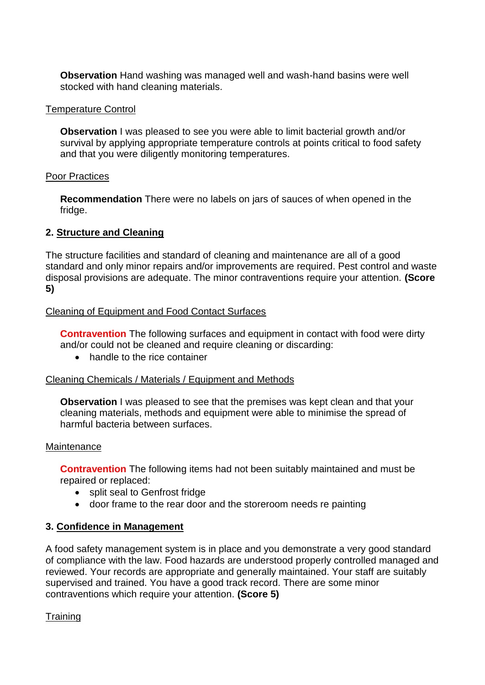**Observation** Hand washing was managed well and wash-hand basins were well stocked with hand cleaning materials.

#### Temperature Control

**Observation I** was pleased to see you were able to limit bacterial growth and/or survival by applying appropriate temperature controls at points critical to food safety and that you were diligently monitoring temperatures.

#### Poor Practices

**Recommendation** There were no labels on jars of sauces of when opened in the fridge.

# **2. Structure and Cleaning**

The structure facilities and standard of cleaning and maintenance are all of a good standard and only minor repairs and/or improvements are required. Pest control and waste disposal provisions are adequate. The minor contraventions require your attention. **(Score 5)**

# Cleaning of Equipment and Food Contact Surfaces

**Contravention** The following surfaces and equipment in contact with food were dirty and/or could not be cleaned and require cleaning or discarding:

• handle to the rice container

#### Cleaning Chemicals / Materials / Equipment and Methods

**Observation** I was pleased to see that the premises was kept clean and that your cleaning materials, methods and equipment were able to minimise the spread of harmful bacteria between surfaces.

#### **Maintenance**

**Contravention** The following items had not been suitably maintained and must be repaired or replaced:

- split seal to Genfrost fridge
- door frame to the rear door and the storeroom needs re painting

# **3. Confidence in Management**

A food safety management system is in place and you demonstrate a very good standard of compliance with the law. Food hazards are understood properly controlled managed and reviewed. Your records are appropriate and generally maintained. Your staff are suitably supervised and trained. You have a good track record. There are some minor contraventions which require your attention. **(Score 5)**

# **Training**